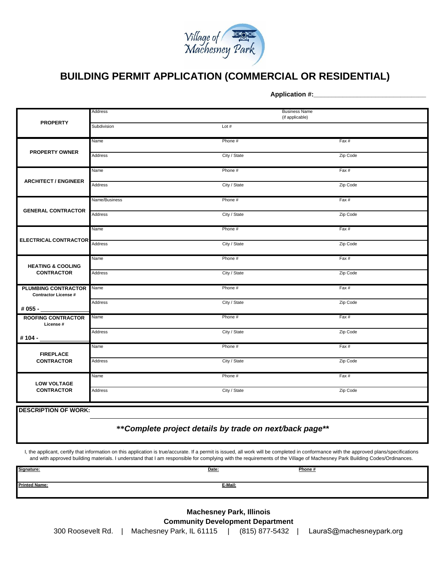

## **BUILDING PERMIT APPLICATION (COMMERCIAL OR RESIDENTIAL)**

**Application #:\_\_\_\_\_\_\_\_\_\_\_\_\_\_\_\_\_\_\_\_\_\_\_\_\_\_\_\_\_\_\_**

| <b>PROPERTY</b>                                                       | Address       | <b>Business Name</b><br>(if applicable) |          |  |
|-----------------------------------------------------------------------|---------------|-----------------------------------------|----------|--|
|                                                                       | Subdivision   | Lot $#$                                 |          |  |
| <b>PROPERTY OWNER</b>                                                 | Name          | Phone #                                 | Fax#     |  |
|                                                                       | Address       | City / State                            | Zip Code |  |
| <b>ARCHITECT / ENGINEER</b>                                           | Name          | Phone #                                 | Fax#     |  |
|                                                                       | Address       | City / State                            | Zip Code |  |
| <b>GENERAL CONTRACTOR</b>                                             | Name/Business | Phone #                                 | Fax#     |  |
|                                                                       | Address       | City / State                            | Zip Code |  |
| <b>ELECTRICAL CONTRACTOR</b>                                          | Name          | Phone #                                 | Fax#     |  |
|                                                                       | Address       | City / State                            | Zip Code |  |
| <b>HEATING &amp; COOLING</b><br><b>CONTRACTOR</b>                     | Name          | Phone #                                 | Fax#     |  |
|                                                                       | Address       | City / State                            | Zip Code |  |
| <b>PLUMBING CONTRACTOR</b><br><b>Contractor License#</b><br># 055 - _ | Name          | Phone #                                 | Fax#     |  |
|                                                                       | Address       | City / State                            | Zip Code |  |
| <b>ROOFING CONTRACTOR</b><br>License #                                | Name          | Phone #                                 | Fax#     |  |
| #104 -                                                                | Address       | City / State                            | Zip Code |  |
| <b>FIREPLACE</b><br><b>CONTRACTOR</b>                                 | Name          | Phone #                                 | Fax#     |  |
|                                                                       | Address       | City / State                            | Zip Code |  |
| <b>LOW VOLTAGE</b><br><b>CONTRACTOR</b>                               | Name          | Phone #                                 | Fax#     |  |
|                                                                       | Address       | City / State                            | Zip Code |  |

**DESCRIPTION OF WORK:**

## **\*\****Complete project details by trade on next/back page\*\**

I, the applicant, certify that information on this application is true/accurate. If a permit is issued, all work will be completed in conformance with the approved plans/specifications and with approved building materials. I understand that I am responsible for complying with the requirements of the Village of Machesney Park Building Codes/Ordinances.

| Signature:           | Date:   | Phone#<br>the contract of the contract of the |
|----------------------|---------|-----------------------------------------------|
| <b>Printed Name:</b> | E-Mail: |                                               |

**Machesney Park, Illinois Community Development Department**

300 Roosevelt Rd. | Machesney Park, IL 61115 | (815) 877-5432 | [LauraS@machesneypark.org](mailto:lauras@machesneypark.org)